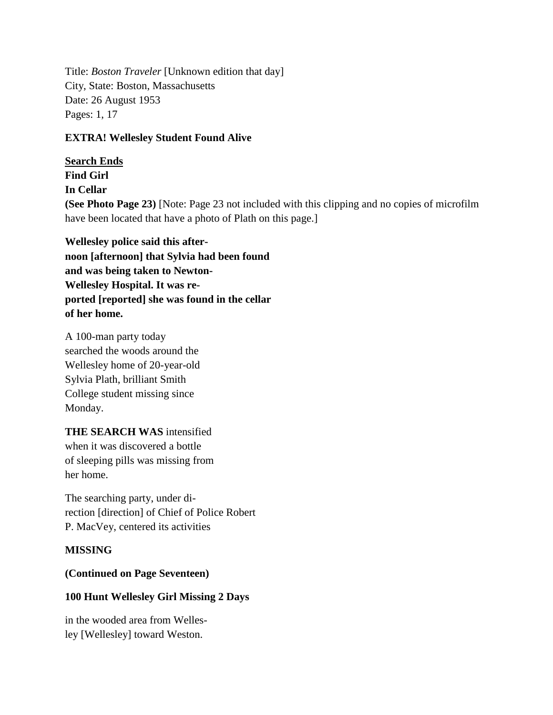Title: *Boston Traveler* [Unknown edition that day] City, State: Boston, Massachusetts Date: 26 August 1953 Pages: 1, 17

# **EXTRA! Wellesley Student Found Alive**

**Search Ends Find Girl In Cellar (See Photo Page 23)** [Note: Page 23 not included with this clipping and no copies of microfilm have been located that have a photo of Plath on this page.]

**Wellesley police said this afternoon [afternoon] that Sylvia had been found and was being taken to Newton-Wellesley Hospital. It was reported [reported] she was found in the cellar of her home.**

A 100-man party today searched the woods around the Wellesley home of 20-year-old Sylvia Plath, brilliant Smith College student missing since Monday.

**THE SEARCH WAS** intensified when it was discovered a bottle of sleeping pills was missing from her home.

The searching party, under direction [direction] of Chief of Police Robert P. MacVey, centered its activities

## **MISSING**

**(Continued on Page Seventeen)**

## **100 Hunt Wellesley Girl Missing 2 Days**

in the wooded area from Wellesley [Wellesley] toward Weston.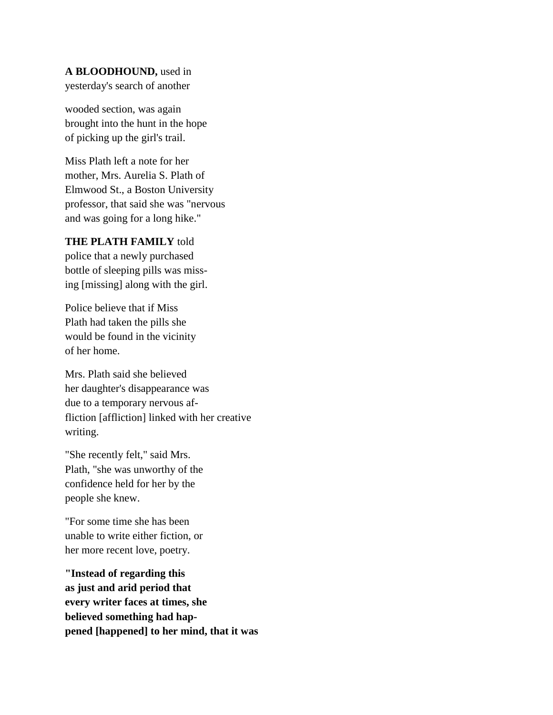#### **A BLOODHOUND,** used in

yesterday's search of another

wooded section, was again brought into the hunt in the hope of picking up the girl's trail.

Miss Plath left a note for her mother, Mrs. Aurelia S. Plath of Elmwood St., a Boston University professor, that said she was "nervous and was going for a long hike."

#### **THE PLATH FAMILY** told

police that a newly purchased bottle of sleeping pills was missing [missing] along with the girl.

Police believe that if Miss Plath had taken the pills she would be found in the vicinity of her home.

Mrs. Plath said she believed her daughter's disappearance was due to a temporary nervous affliction [affliction] linked with her creative writing.

"She recently felt," said Mrs. Plath, "she was unworthy of the confidence held for her by the people she knew.

"For some time she has been unable to write either fiction, or her more recent love, poetry.

**"Instead of regarding this as just and arid period that every writer faces at times, she believed something had happened [happened] to her mind, that it was**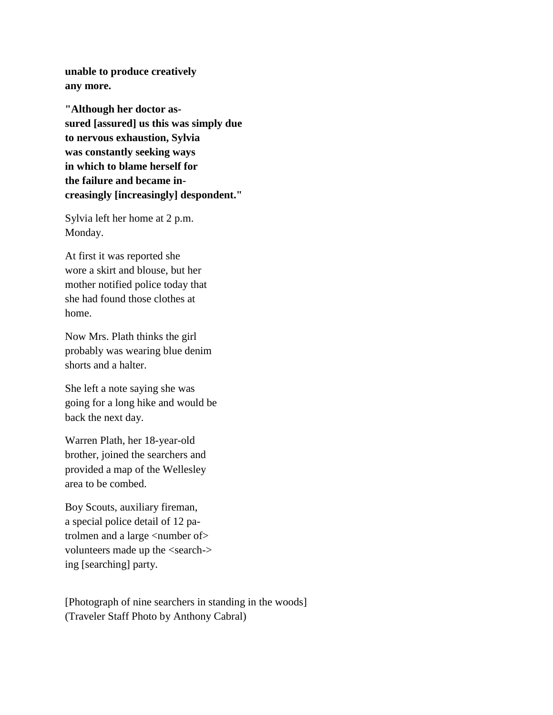**unable to produce creatively any more.**

**"Although her doctor assured [assured] us this was simply due to nervous exhaustion, Sylvia was constantly seeking ways in which to blame herself for the failure and became increasingly [increasingly] despondent."**

Sylvia left her home at 2 p.m. Monday.

At first it was reported she wore a skirt and blouse, but her mother notified police today that she had found those clothes at home.

Now Mrs. Plath thinks the girl probably was wearing blue denim shorts and a halter.

She left a note saying she was going for a long hike and would be back the next day.

Warren Plath, her 18-year-old brother, joined the searchers and provided a map of the Wellesley area to be combed.

Boy Scouts, auxiliary fireman, a special police detail of 12 patrolmen and a large <number of> volunteers made up the <search-> ing [searching] party.

[Photograph of nine searchers in standing in the woods] (Traveler Staff Photo by Anthony Cabral)